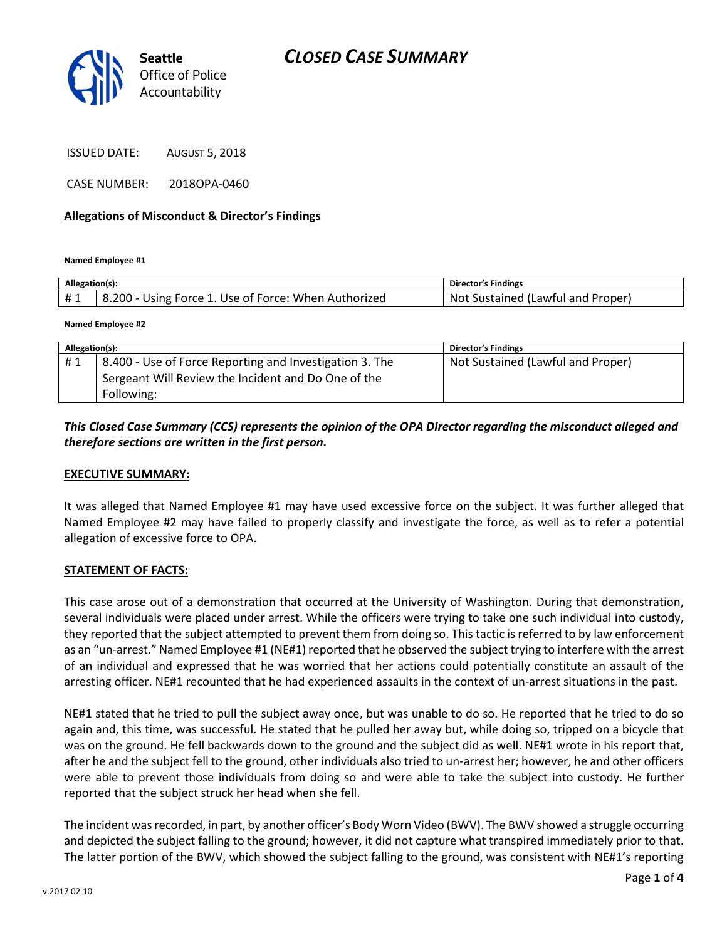

ISSUED DATE: AUGUST 5, 2018

CASE NUMBER: 2018OPA-0460

#### Allegations of Misconduct & Director's Findings

Named Employee #1

| Allegation(s):  |                                                      | Director's Findings                  |
|-----------------|------------------------------------------------------|--------------------------------------|
| <b>H</b> 1<br>. | 8.200 - Using Force 1. Use of Force: When Authorized | Sustained (Lawful and Proper)<br>Not |

Named Employee #2

| Allegation(s): |                                                         | <b>Director's Findings</b>        |
|----------------|---------------------------------------------------------|-----------------------------------|
| #1             | 8.400 - Use of Force Reporting and Investigation 3. The | Not Sustained (Lawful and Proper) |
|                | Sergeant Will Review the Incident and Do One of the     |                                   |
|                | Following:                                              |                                   |

### This Closed Case Summary (CCS) represents the opinion of the OPA Director regarding the misconduct alleged and therefore sections are written in the first person.

#### EXECUTIVE SUMMARY:

It was alleged that Named Employee #1 may have used excessive force on the subject. It was further alleged that Named Employee #2 may have failed to properly classify and investigate the force, as well as to refer a potential allegation of excessive force to OPA.

#### STATEMENT OF FACTS:

This case arose out of a demonstration that occurred at the University of Washington. During that demonstration, several individuals were placed under arrest. While the officers were trying to take one such individual into custody, they reported that the subject attempted to prevent them from doing so. This tactic is referred to by law enforcement as an "un-arrest." Named Employee #1 (NE#1) reported that he observed the subject trying to interfere with the arrest of an individual and expressed that he was worried that her actions could potentially constitute an assault of the arresting officer. NE#1 recounted that he had experienced assaults in the context of un-arrest situations in the past.

NE#1 stated that he tried to pull the subject away once, but was unable to do so. He reported that he tried to do so again and, this time, was successful. He stated that he pulled her away but, while doing so, tripped on a bicycle that was on the ground. He fell backwards down to the ground and the subject did as well. NE#1 wrote in his report that, after he and the subject fell to the ground, other individuals also tried to un-arrest her; however, he and other officers were able to prevent those individuals from doing so and were able to take the subject into custody. He further reported that the subject struck her head when she fell.

The incident was recorded, in part, by another officer's Body Worn Video (BWV). The BWV showed a struggle occurring and depicted the subject falling to the ground; however, it did not capture what transpired immediately prior to that. The latter portion of the BWV, which showed the subject falling to the ground, was consistent with NE#1's reporting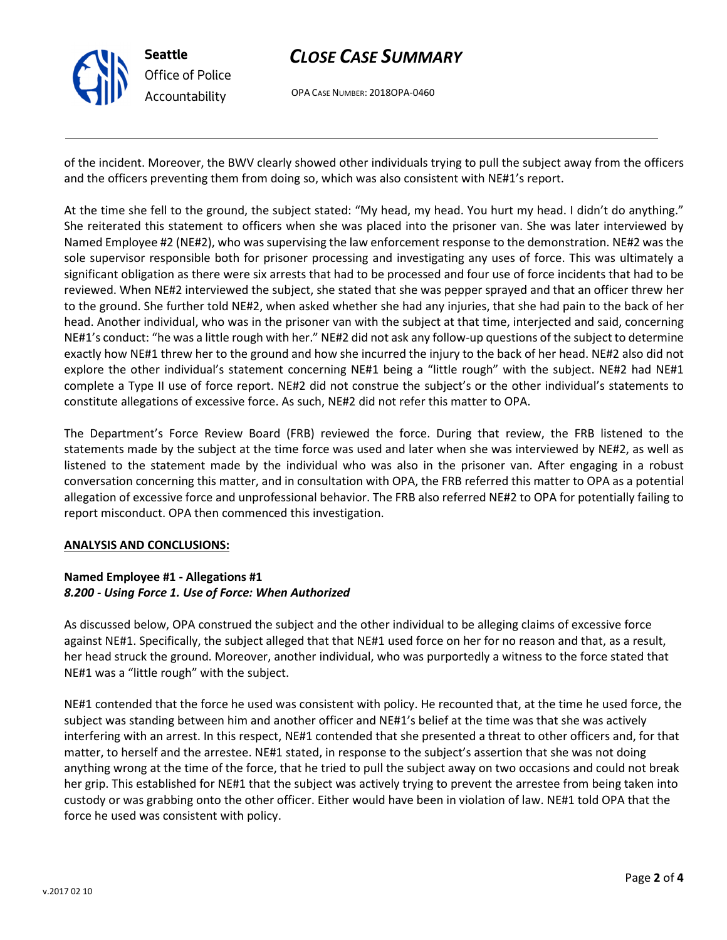

# CLOSE CASE SUMMARY

OPA CASE NUMBER: 2018OPA-0460

of the incident. Moreover, the BWV clearly showed other individuals trying to pull the subject away from the officers and the officers preventing them from doing so, which was also consistent with NE#1's report.

At the time she fell to the ground, the subject stated: "My head, my head. You hurt my head. I didn't do anything." She reiterated this statement to officers when she was placed into the prisoner van. She was later interviewed by Named Employee #2 (NE#2), who was supervising the law enforcement response to the demonstration. NE#2 was the sole supervisor responsible both for prisoner processing and investigating any uses of force. This was ultimately a significant obligation as there were six arrests that had to be processed and four use of force incidents that had to be reviewed. When NE#2 interviewed the subject, she stated that she was pepper sprayed and that an officer threw her to the ground. She further told NE#2, when asked whether she had any injuries, that she had pain to the back of her head. Another individual, who was in the prisoner van with the subject at that time, interjected and said, concerning NE#1's conduct: "he was a little rough with her." NE#2 did not ask any follow-up questions of the subject to determine exactly how NE#1 threw her to the ground and how she incurred the injury to the back of her head. NE#2 also did not explore the other individual's statement concerning NE#1 being a "little rough" with the subject. NE#2 had NE#1 complete a Type II use of force report. NE#2 did not construe the subject's or the other individual's statements to constitute allegations of excessive force. As such, NE#2 did not refer this matter to OPA.

The Department's Force Review Board (FRB) reviewed the force. During that review, the FRB listened to the statements made by the subject at the time force was used and later when she was interviewed by NE#2, as well as listened to the statement made by the individual who was also in the prisoner van. After engaging in a robust conversation concerning this matter, and in consultation with OPA, the FRB referred this matter to OPA as a potential allegation of excessive force and unprofessional behavior. The FRB also referred NE#2 to OPA for potentially failing to report misconduct. OPA then commenced this investigation.

# ANALYSIS AND CONCLUSIONS:

#### Named Employee #1 - Allegations #1 8.200 - Using Force 1. Use of Force: When Authorized

As discussed below, OPA construed the subject and the other individual to be alleging claims of excessive force against NE#1. Specifically, the subject alleged that that NE#1 used force on her for no reason and that, as a result, her head struck the ground. Moreover, another individual, who was purportedly a witness to the force stated that NE#1 was a "little rough" with the subject.

NE#1 contended that the force he used was consistent with policy. He recounted that, at the time he used force, the subject was standing between him and another officer and NE#1's belief at the time was that she was actively interfering with an arrest. In this respect, NE#1 contended that she presented a threat to other officers and, for that matter, to herself and the arrestee. NE#1 stated, in response to the subject's assertion that she was not doing anything wrong at the time of the force, that he tried to pull the subject away on two occasions and could not break her grip. This established for NE#1 that the subject was actively trying to prevent the arrestee from being taken into custody or was grabbing onto the other officer. Either would have been in violation of law. NE#1 told OPA that the force he used was consistent with policy.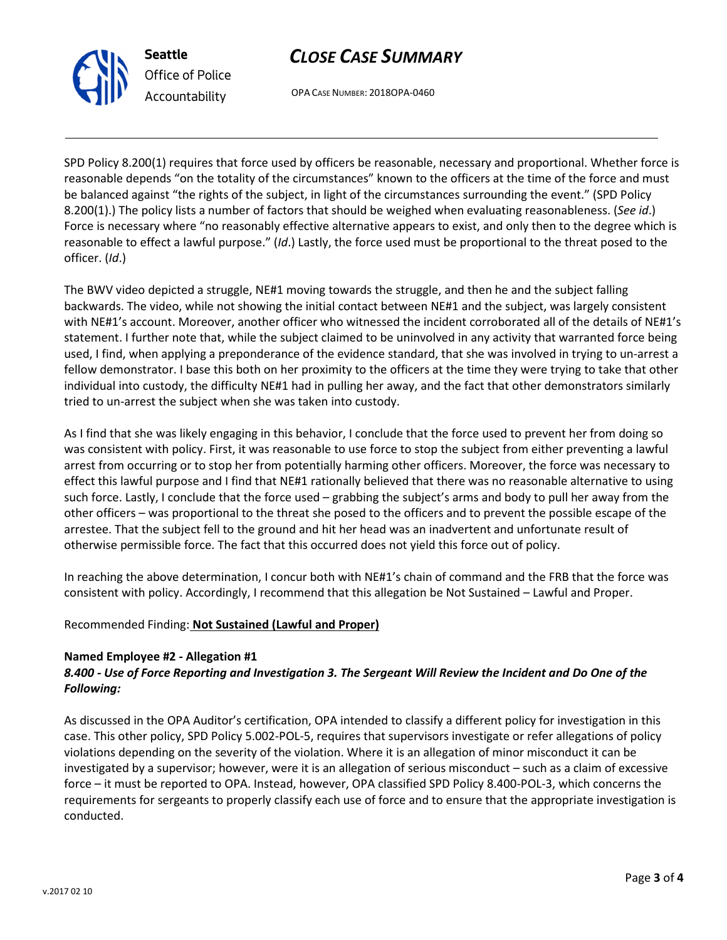



OPA CASE NUMBER: 2018OPA-0460

SPD Policy 8.200(1) requires that force used by officers be reasonable, necessary and proportional. Whether force is reasonable depends "on the totality of the circumstances" known to the officers at the time of the force and must be balanced against "the rights of the subject, in light of the circumstances surrounding the event." (SPD Policy 8.200(1).) The policy lists a number of factors that should be weighed when evaluating reasonableness. (See id.) Force is necessary where "no reasonably effective alternative appears to exist, and only then to the degree which is reasonable to effect a lawful purpose." (Id.) Lastly, the force used must be proportional to the threat posed to the officer. (Id.)

The BWV video depicted a struggle, NE#1 moving towards the struggle, and then he and the subject falling backwards. The video, while not showing the initial contact between NE#1 and the subject, was largely consistent with NE#1's account. Moreover, another officer who witnessed the incident corroborated all of the details of NE#1's statement. I further note that, while the subject claimed to be uninvolved in any activity that warranted force being used, I find, when applying a preponderance of the evidence standard, that she was involved in trying to un-arrest a fellow demonstrator. I base this both on her proximity to the officers at the time they were trying to take that other individual into custody, the difficulty NE#1 had in pulling her away, and the fact that other demonstrators similarly tried to un-arrest the subject when she was taken into custody.

As I find that she was likely engaging in this behavior, I conclude that the force used to prevent her from doing so was consistent with policy. First, it was reasonable to use force to stop the subject from either preventing a lawful arrest from occurring or to stop her from potentially harming other officers. Moreover, the force was necessary to effect this lawful purpose and I find that NE#1 rationally believed that there was no reasonable alternative to using such force. Lastly, I conclude that the force used – grabbing the subject's arms and body to pull her away from the other officers – was proportional to the threat she posed to the officers and to prevent the possible escape of the arrestee. That the subject fell to the ground and hit her head was an inadvertent and unfortunate result of otherwise permissible force. The fact that this occurred does not yield this force out of policy.

In reaching the above determination, I concur both with NE#1's chain of command and the FRB that the force was consistent with policy. Accordingly, I recommend that this allegation be Not Sustained – Lawful and Proper.

# Recommended Finding: Not Sustained (Lawful and Proper)

#### Named Employee #2 - Allegation #1

# 8.400 - Use of Force Reporting and Investigation 3. The Sergeant Will Review the Incident and Do One of the Following:

As discussed in the OPA Auditor's certification, OPA intended to classify a different policy for investigation in this case. This other policy, SPD Policy 5.002-POL-5, requires that supervisors investigate or refer allegations of policy violations depending on the severity of the violation. Where it is an allegation of minor misconduct it can be investigated by a supervisor; however, were it is an allegation of serious misconduct – such as a claim of excessive force – it must be reported to OPA. Instead, however, OPA classified SPD Policy 8.400-POL-3, which concerns the requirements for sergeants to properly classify each use of force and to ensure that the appropriate investigation is conducted.